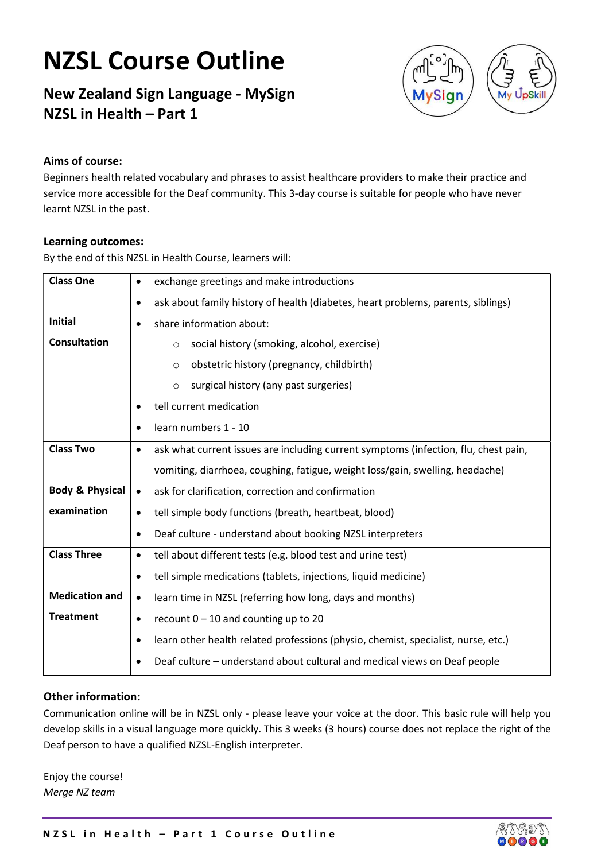# NZSL Course Outline

### New Zealand Sign Language - MySign NZSL in Health – Part 1



#### Aims of course:

Beginners health related vocabulary and phrases to assist healthcare providers to make their practice and service more accessible for the Deaf community. This 3-day course is suitable for people who have never learnt NZSL in the past.

#### Learning outcomes:

By the end of this NZSL in Health Course, learners will:

| <b>Class One</b>           | exchange greetings and make introductions<br>٠                                                |
|----------------------------|-----------------------------------------------------------------------------------------------|
|                            | ask about family history of health (diabetes, heart problems, parents, siblings)<br>$\bullet$ |
| <b>Initial</b>             | share information about:<br>٠                                                                 |
| <b>Consultation</b>        | social history (smoking, alcohol, exercise)<br>$\circ$                                        |
|                            | obstetric history (pregnancy, childbirth)<br>$\circ$                                          |
|                            | surgical history (any past surgeries)<br>$\circ$                                              |
|                            | tell current medication<br>٠                                                                  |
|                            | learn numbers 1 - 10<br>٠                                                                     |
| <b>Class Two</b>           | ask what current issues are including current symptoms (infection, flu, chest pain,<br>٠      |
|                            | vomiting, diarrhoea, coughing, fatigue, weight loss/gain, swelling, headache)                 |
| <b>Body &amp; Physical</b> | ask for clarification, correction and confirmation<br>$\bullet$                               |
| examination                | tell simple body functions (breath, heartbeat, blood)<br>٠                                    |
|                            | Deaf culture - understand about booking NZSL interpreters<br>$\bullet$                        |
| <b>Class Three</b>         | tell about different tests (e.g. blood test and urine test)<br>$\bullet$                      |
|                            | tell simple medications (tablets, injections, liquid medicine)<br>$\bullet$                   |
| <b>Medication and</b>      | learn time in NZSL (referring how long, days and months)<br>$\bullet$                         |
| <b>Treatment</b>           | recount $0 - 10$ and counting up to 20<br>$\bullet$                                           |
|                            | learn other health related professions (physio, chemist, specialist, nurse, etc.)<br>٠        |
|                            | Deaf culture - understand about cultural and medical views on Deaf people                     |

#### Other information:

Communication online will be in NZSL only - please leave your voice at the door. This basic rule will help you develop skills in a visual language more quickly. This 3 weeks (3 hours) course does not replace the right of the Deaf person to have a qualified NZSL-English interpreter.

Enjoy the course! Merge NZ team

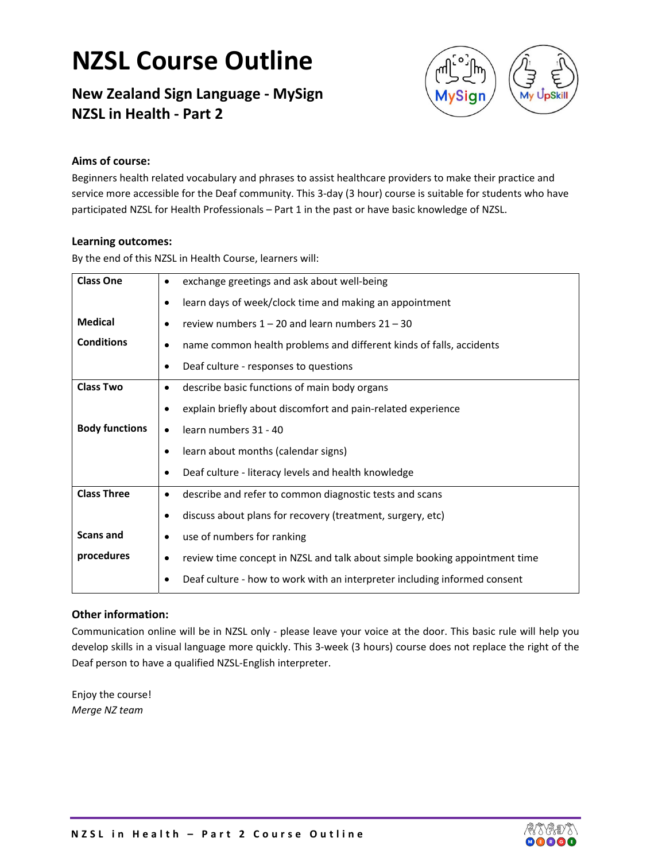## **NZSL Course Outline**

### **New Zealand Sign Language ‐ MySign NZSL in Health ‐ Part 2**



#### **Aims of course:**

Beginners health related vocabulary and phrases to assist healthcare providers to make their practice and service more accessible for the Deaf community. This 3-day (3 hour) course is suitable for students who have participated NZSL for Health Professionals – Part 1 in the past or have basic knowledge of NZSL.

#### **Learning outcomes:**

By the end of this NZSL in Health Course, learners will:

| <b>Class One</b>      | exchange greetings and ask about well-being                                      |
|-----------------------|----------------------------------------------------------------------------------|
|                       | learn days of week/clock time and making an appointment<br>$\bullet$             |
| <b>Medical</b>        | review numbers $1 - 20$ and learn numbers $21 - 30$<br>$\bullet$                 |
| <b>Conditions</b>     | name common health problems and different kinds of falls, accidents<br>$\bullet$ |
|                       | Deaf culture - responses to questions<br>$\bullet$                               |
| <b>Class Two</b>      | describe basic functions of main body organs<br>$\bullet$                        |
|                       | explain briefly about discomfort and pain-related experience<br>$\bullet$        |
| <b>Body functions</b> | learn numbers 31 - 40<br>$\bullet$                                               |
|                       | learn about months (calendar signs)<br>$\bullet$                                 |
|                       | Deaf culture - literacy levels and health knowledge<br>٠                         |
| <b>Class Three</b>    | describe and refer to common diagnostic tests and scans<br>$\bullet$             |
|                       | discuss about plans for recovery (treatment, surgery, etc)<br>$\bullet$          |
| <b>Scans and</b>      | use of numbers for ranking<br>$\bullet$                                          |
| procedures            | review time concept in NZSL and talk about simple booking appointment time<br>٠  |
|                       | Deaf culture - how to work with an interpreter including informed consent        |

#### **Other information:**

Communication online will be in NZSL only ‐ please leave your voice at the door. This basic rule will help you develop skills in a visual language more quickly. This 3‐week (3 hours) course does not replace the right of the Deaf person to have a qualified NZSL‐English interpreter.

Enjoy the course! *Merge NZ team*